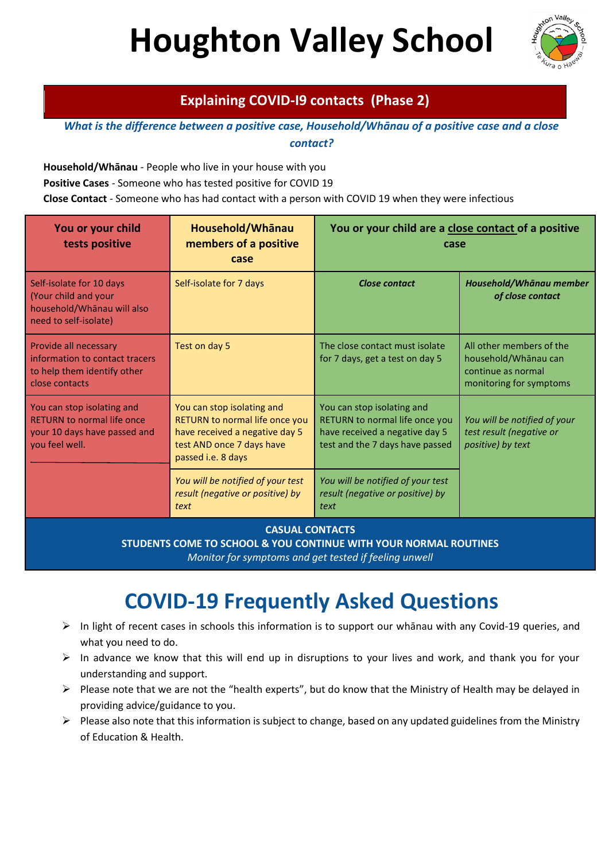# **Houghton Valley School**



## **Explaining COVID-I9 contacts (Phase 2)**

*What is the difference between a positive case, Household/Whānau of a positive case and a close contact?*

**Household/Whānau** - People who live in your house with you

**Positive Cases** - Someone who has tested positive for COVID 19

**Close Contact** - Someone who has had contact with a person with COVID 19 when they were infectious

| You or your child<br>tests positive                                                                               | Household/Whanau<br>members of a positive<br>case                                                                                                        | You or your child are a close contact of a positive<br>case                                                                       |                                                                                                   |
|-------------------------------------------------------------------------------------------------------------------|----------------------------------------------------------------------------------------------------------------------------------------------------------|-----------------------------------------------------------------------------------------------------------------------------------|---------------------------------------------------------------------------------------------------|
| Self-isolate for 10 days<br>(Your child and your<br>household/Whānau will also<br>need to self-isolate)           | Self-isolate for 7 days                                                                                                                                  | <b>Close contact</b>                                                                                                              | Household/Whānau member<br>of close contact                                                       |
| Provide all necessary<br>information to contact tracers<br>to help them identify other<br>close contacts          | Test on day 5                                                                                                                                            | The close contact must isolate<br>for 7 days, get a test on day 5                                                                 | All other members of the<br>household/Whānau can<br>continue as normal<br>monitoring for symptoms |
| You can stop isolating and<br><b>RETURN to normal life once</b><br>your 10 days have passed and<br>you feel well. | You can stop isolating and<br><b>RETURN to normal life once you</b><br>have received a negative day 5<br>test AND once 7 days have<br>passed i.e. 8 days | You can stop isolating and<br>RETURN to normal life once you<br>have received a negative day 5<br>test and the 7 days have passed | You will be notified of your<br>test result (negative or<br>positive) by text                     |
|                                                                                                                   | You will be notified of your test<br>result (negative or positive) by<br>text                                                                            | You will be notified of your test<br>result (negative or positive) by<br>text                                                     |                                                                                                   |

**CASUAL CONTACTS** 

**STUDENTS COME TO SCHOOL & YOU CONTINUE WITH YOUR NORMAL ROUTINES**

*Monitor for symptoms and get tested if feeling unwell*

## **COVID-19 Frequently Asked Questions**

- $\triangleright$  In light of recent cases in schools this information is to support our whānau with any Covid-19 queries, and what you need to do.
- $\triangleright$  In advance we know that this will end up in disruptions to your lives and work, and thank you for your understanding and support.
- $\triangleright$  Please note that we are not the "health experts", but do know that the Ministry of Health may be delayed in providing advice/guidance to you.
- $\triangleright$  Please also note that this information is subject to change, based on any updated guidelines from the Ministry of Education & Health.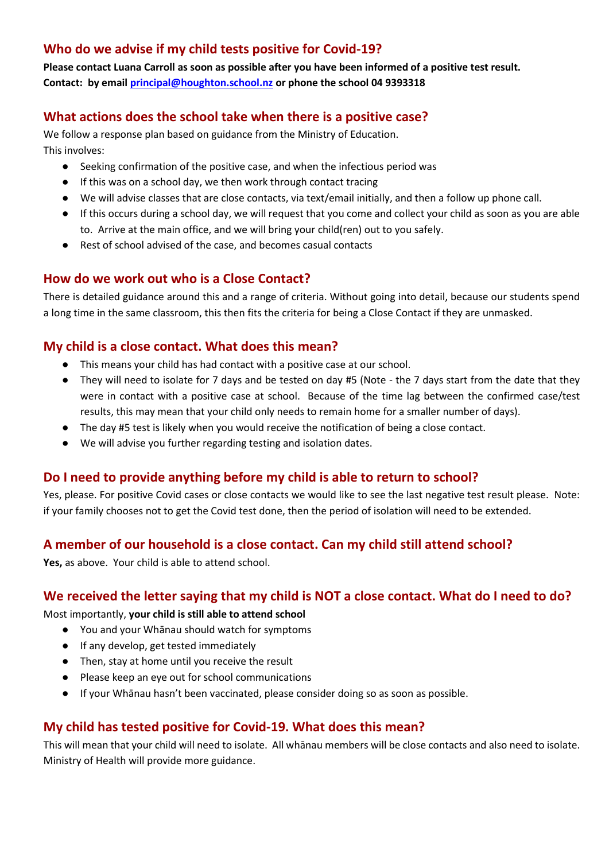## **Who do we advise if my child tests positive for Covid-19?**

**Please contact Luana Carroll as soon as possible after you have been informed of a positive test result. Contact: by email [principal@houghton.school.nz](mailto:principal@houghton.school.nz) or phone the school 04 9393318**

## **What actions does the school take when there is a positive case?**

We follow a response plan based on guidance from the Ministry of Education. This involves:

- Seeking confirmation of the positive case, and when the infectious period was
- If this was on a school day, we then work through contact tracing
- We will advise classes that are close contacts, via text/email initially, and then a follow up phone call.
- If this occurs during a school day, we will request that you come and collect your child as soon as you are able to. Arrive at the main office, and we will bring your child(ren) out to you safely.
- Rest of school advised of the case, and becomes casual contacts

## **How do we work out who is a Close Contact?**

There is detailed guidance around this and a range of criteria. Without going into detail, because our students spend a long time in the same classroom, this then fits the criteria for being a Close Contact if they are unmasked.

## **My child is a close contact. What does this mean?**

- This means your child has had contact with a positive case at our school.
- They will need to isolate for 7 days and be tested on day #5 (Note the 7 days start from the date that they were in contact with a positive case at school. Because of the time lag between the confirmed case/test results, this may mean that your child only needs to remain home for a smaller number of days).
- The day #5 test is likely when you would receive the notification of being a close contact.
- We will advise you further regarding testing and isolation dates.

## **Do I need to provide anything before my child is able to return to school?**

Yes, please. For positive Covid cases or close contacts we would like to see the last negative test result please. Note: if your family chooses not to get the Covid test done, then the period of isolation will need to be extended.

## **A member of our household is a close contact. Can my child still attend school?**

**Yes,** as above. Your child is able to attend school.

## **We received the letter saying that my child is NOT a close contact. What do I need to do?**

#### Most importantly, **your child is still able to attend school**

- You and your Whānau should watch for symptoms
- If any develop, get tested immediately
- Then, stay at home until you receive the result
- Please keep an eye out for school communications
- If your Whānau hasn't been vaccinated, please consider doing so as soon as possible.

## **My child has tested positive for Covid-19. What does this mean?**

This will mean that your child will need to isolate. All whānau members will be close contacts and also need to isolate. Ministry of Health will provide more guidance.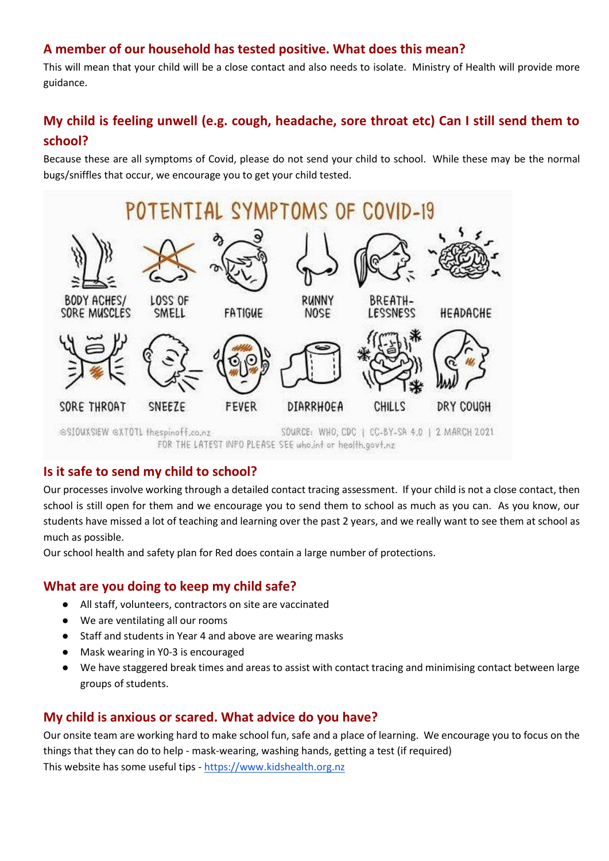## **A member of our household has tested positive. What does this mean?**

This will mean that your child will be a close contact and also needs to isolate. Ministry of Health will provide more guidance.

## **My child is feeling unwell (e.g. cough, headache, sore throat etc) Can I still send them to school?**

Because these are all symptoms of Covid, please do not send your child to school. While these may be the normal bugs/sniffles that occur, we encourage you to get your child tested.



## **Is it safe to send my child to school?**

Our processes involve working through a detailed contact tracing assessment. If your child is not a close contact, then school is still open for them and we encourage you to send them to school as much as you can. As you know, our students have missed a lot of teaching and learning over the past 2 years, and we really want to see them at school as much as possible.

Our school health and safety plan for Red does contain a large number of protections.

## **What are you doing to keep my child safe?**

- All staff, volunteers, contractors on site are vaccinated
- We are ventilating all our rooms
- Staff and students in Year 4 and above are wearing masks
- Mask wearing in Y0-3 is encouraged
- We have staggered break times and areas to assist with contact tracing and minimising contact between large groups of students.

## **My child is anxious or scared. What advice do you have?**

Our onsite team are working hard to make school fun, safe and a place of learning. We encourage you to focus on the things that they can do to help - mask-wearing, washing hands, getting a test (if required) This website has some useful tips - [https://www.kidshealth.org.nz](https://www.kidshealth.org.nz/)